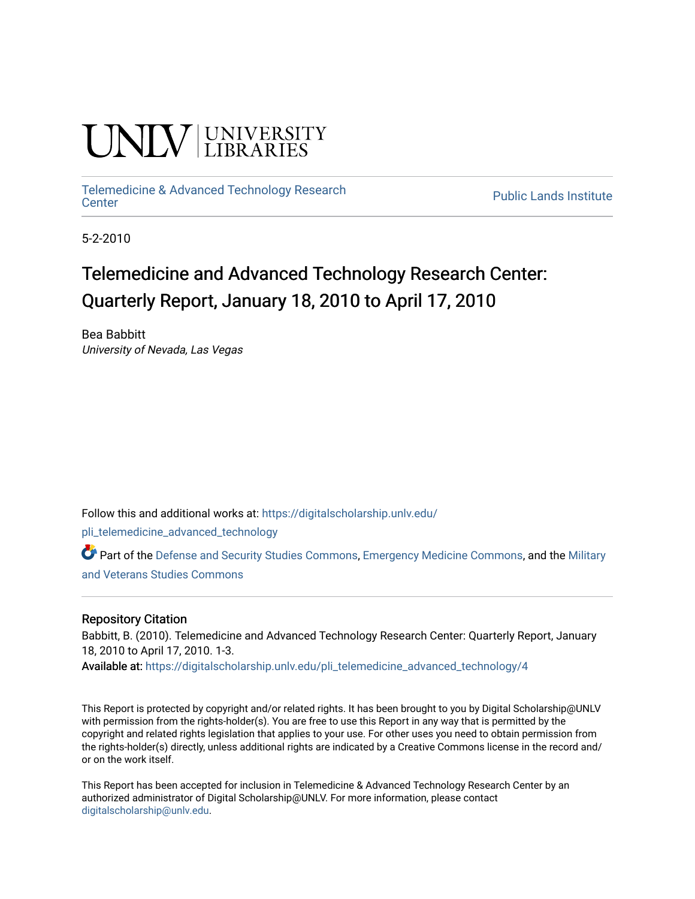# **INIVERSITY**

## [Telemedicine & Advanced Technology Research](https://digitalscholarship.unlv.edu/pli_telemedicine_advanced_technology)

**Public Lands Institute** 

5-2-2010

### Telemedicine and Advanced Technology Research Center: Quarterly Report, January 18, 2010 to April 17, 2010

Bea Babbitt University of Nevada, Las Vegas

Follow this and additional works at: [https://digitalscholarship.unlv.edu/](https://digitalscholarship.unlv.edu/pli_telemedicine_advanced_technology?utm_source=digitalscholarship.unlv.edu%2Fpli_telemedicine_advanced_technology%2F4&utm_medium=PDF&utm_campaign=PDFCoverPages)

[pli\\_telemedicine\\_advanced\\_technology](https://digitalscholarship.unlv.edu/pli_telemedicine_advanced_technology?utm_source=digitalscholarship.unlv.edu%2Fpli_telemedicine_advanced_technology%2F4&utm_medium=PDF&utm_campaign=PDFCoverPages) 

Part of the [Defense and Security Studies Commons](http://network.bepress.com/hgg/discipline/394?utm_source=digitalscholarship.unlv.edu%2Fpli_telemedicine_advanced_technology%2F4&utm_medium=PDF&utm_campaign=PDFCoverPages), [Emergency Medicine Commons,](http://network.bepress.com/hgg/discipline/685?utm_source=digitalscholarship.unlv.edu%2Fpli_telemedicine_advanced_technology%2F4&utm_medium=PDF&utm_campaign=PDFCoverPages) and the [Military](http://network.bepress.com/hgg/discipline/396?utm_source=digitalscholarship.unlv.edu%2Fpli_telemedicine_advanced_technology%2F4&utm_medium=PDF&utm_campaign=PDFCoverPages)  [and Veterans Studies Commons](http://network.bepress.com/hgg/discipline/396?utm_source=digitalscholarship.unlv.edu%2Fpli_telemedicine_advanced_technology%2F4&utm_medium=PDF&utm_campaign=PDFCoverPages) 

#### Repository Citation

Babbitt, B. (2010). Telemedicine and Advanced Technology Research Center: Quarterly Report, January 18, 2010 to April 17, 2010. 1-3.

Available at: [https://digitalscholarship.unlv.edu/pli\\_telemedicine\\_advanced\\_technology/4](https://digitalscholarship.unlv.edu/pli_telemedicine_advanced_technology/4) 

This Report is protected by copyright and/or related rights. It has been brought to you by Digital Scholarship@UNLV with permission from the rights-holder(s). You are free to use this Report in any way that is permitted by the copyright and related rights legislation that applies to your use. For other uses you need to obtain permission from the rights-holder(s) directly, unless additional rights are indicated by a Creative Commons license in the record and/ or on the work itself.

This Report has been accepted for inclusion in Telemedicine & Advanced Technology Research Center by an authorized administrator of Digital Scholarship@UNLV. For more information, please contact [digitalscholarship@unlv.edu](mailto:digitalscholarship@unlv.edu).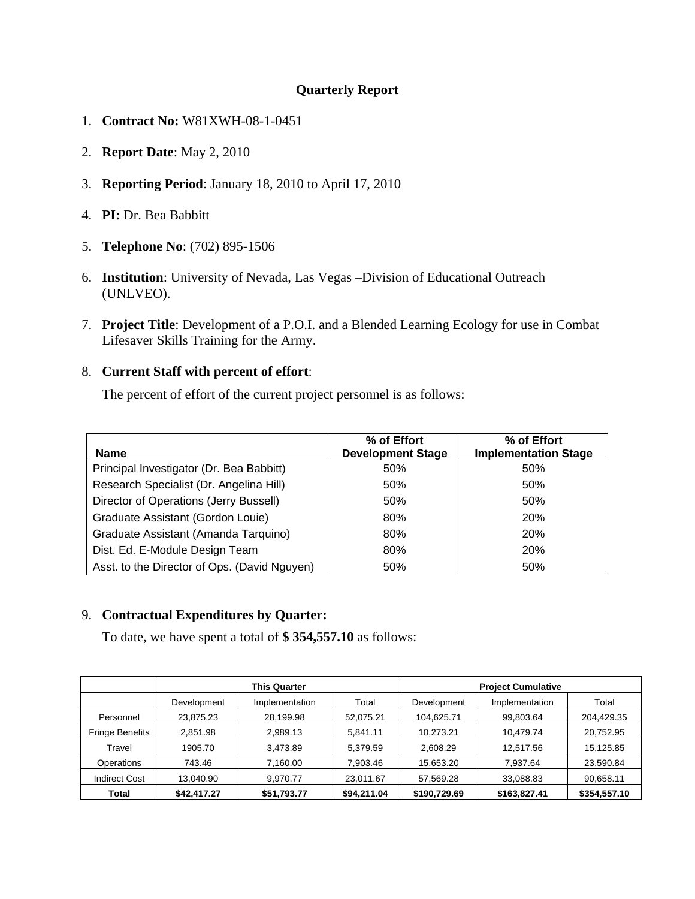#### **Quarterly Report**

- 1. **Contract No:** W81XWH-08-1-0451
- 2. **Report Date**: May 2, 2010
- 3. **Reporting Period**: January 18, 2010 to April 17, 2010
- 4. **PI:** Dr. Bea Babbitt
- 5. **Telephone No**: (702) 895-1506
- 6. **Institution**: University of Nevada, Las Vegas –Division of Educational Outreach (UNLVEO).
- 7. **Project Title**: Development of a P.O.I. and a Blended Learning Ecology for use in Combat Lifesaver Skills Training for the Army.

#### 8. **Current Staff with percent of effort**:

The percent of effort of the current project personnel is as follows:

| <b>Name</b>                                  | % of Effort<br><b>Development Stage</b> | % of Effort<br><b>Implementation Stage</b> |
|----------------------------------------------|-----------------------------------------|--------------------------------------------|
| Principal Investigator (Dr. Bea Babbitt)     | 50%                                     | 50%                                        |
| Research Specialist (Dr. Angelina Hill)      | 50%                                     | 50%                                        |
| Director of Operations (Jerry Bussell)       | 50%                                     | 50%                                        |
| Graduate Assistant (Gordon Louie)            | 80%                                     | <b>20%</b>                                 |
| Graduate Assistant (Amanda Tarquino)         | 80%                                     | <b>20%</b>                                 |
| Dist. Ed. E-Module Design Team               | 80%                                     | <b>20%</b>                                 |
| Asst. to the Director of Ops. (David Nguyen) | 50%                                     | 50%                                        |

#### 9. **Contractual Expenditures by Quarter:**

To date, we have spent a total of **\$ 354,557.10** as follows:

|                        | <b>This Quarter</b> |                | <b>Project Cumulative</b> |              |                |              |
|------------------------|---------------------|----------------|---------------------------|--------------|----------------|--------------|
|                        | Development         | Implementation | Total                     | Development  | Implementation | Total        |
| Personnel              | 23,875.23           | 28,199.98      | 52,075.21                 | 104,625.71   | 99,803.64      | 204,429.35   |
| <b>Fringe Benefits</b> | 2,851.98            | 2,989.13       | 5,841.11                  | 10,273.21    | 10,479.74      | 20,752.95    |
| Travel                 | 1905.70             | 3,473.89       | 5,379.59                  | 2,608.29     | 12,517.56      | 15,125.85    |
| Operations             | 743.46              | 7,160.00       | 7,903.46                  | 15,653.20    | 7,937.64       | 23,590.84    |
| <b>Indirect Cost</b>   | 13,040.90           | 9,970.77       | 23,011.67                 | 57,569.28    | 33,088.83      | 90,658.11    |
| Total                  | \$42,417.27         | \$51,793.77    | \$94,211.04               | \$190,729.69 | \$163,827.41   | \$354,557.10 |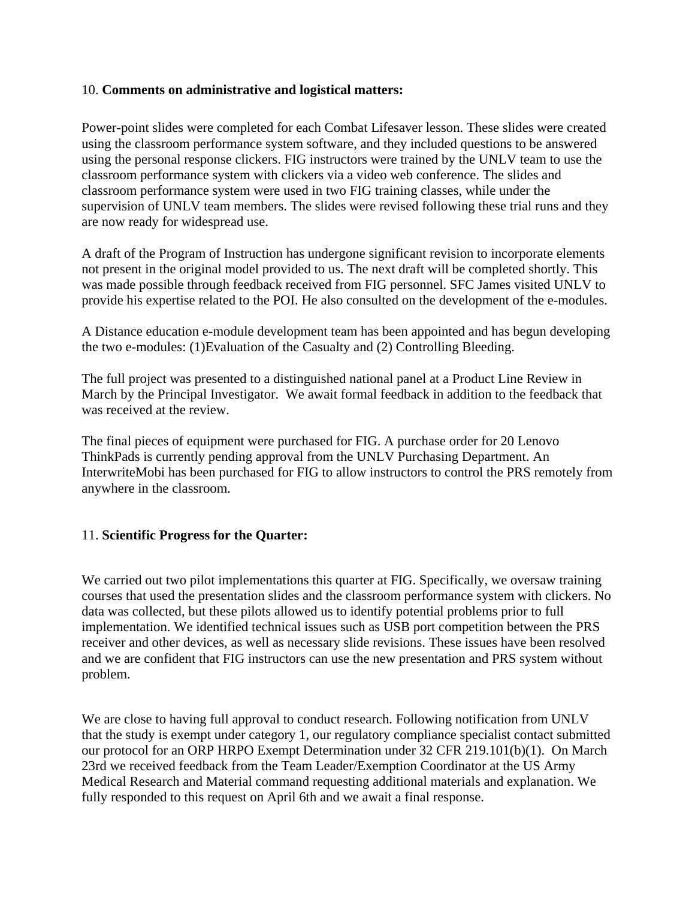#### 10. **Comments on administrative and logistical matters:**

Power-point slides were completed for each Combat Lifesaver lesson. These slides were created using the classroom performance system software, and they included questions to be answered using the personal response clickers. FIG instructors were trained by the UNLV team to use the classroom performance system with clickers via a video web conference. The slides and classroom performance system were used in two FIG training classes, while under the supervision of UNLV team members. The slides were revised following these trial runs and they are now ready for widespread use.

A draft of the Program of Instruction has undergone significant revision to incorporate elements not present in the original model provided to us. The next draft will be completed shortly. This was made possible through feedback received from FIG personnel. SFC James visited UNLV to provide his expertise related to the POI. He also consulted on the development of the e-modules.

A Distance education e-module development team has been appointed and has begun developing the two e-modules: (1)Evaluation of the Casualty and (2) Controlling Bleeding.

The full project was presented to a distinguished national panel at a Product Line Review in March by the Principal Investigator. We await formal feedback in addition to the feedback that was received at the review.

The final pieces of equipment were purchased for FIG. A purchase order for 20 Lenovo ThinkPads is currently pending approval from the UNLV Purchasing Department. An InterwriteMobi has been purchased for FIG to allow instructors to control the PRS remotely from anywhere in the classroom.

#### 11. **Scientific Progress for the Quarter:**

We carried out two pilot implementations this quarter at FIG. Specifically, we oversaw training courses that used the presentation slides and the classroom performance system with clickers. No data was collected, but these pilots allowed us to identify potential problems prior to full implementation. We identified technical issues such as USB port competition between the PRS receiver and other devices, as well as necessary slide revisions. These issues have been resolved and we are confident that FIG instructors can use the new presentation and PRS system without problem.

We are close to having full approval to conduct research. Following notification from UNLV that the study is exempt under category 1, our regulatory compliance specialist contact submitted our protocol for an ORP HRPO Exempt Determination under 32 CFR 219.101(b)(1). On March 23rd we received feedback from the Team Leader/Exemption Coordinator at the US Army Medical Research and Material command requesting additional materials and explanation. We fully responded to this request on April 6th and we await a final response.